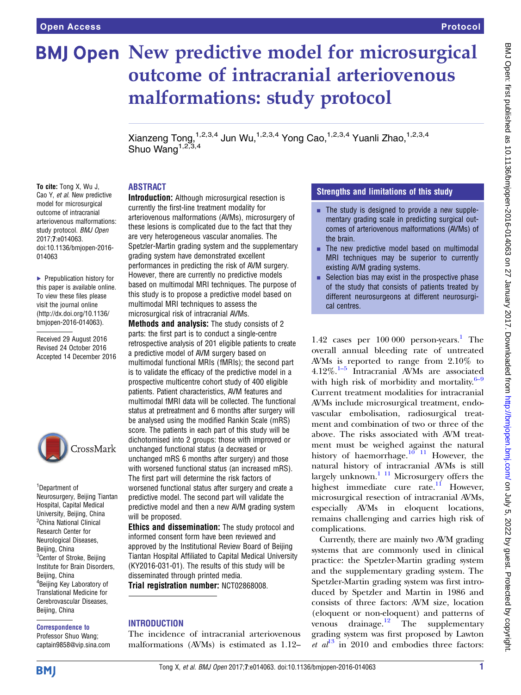# **BMJ Open New predictive model for microsurgical** outcome of intracranial arteriovenous malformations: study protocol

Xianzeng Tong, 1,2,3,4 Jun Wu, 1,2,3,4 Yong Cao, <sup>1,2,3,4</sup> Yuanli Zhao, <sup>1,2,3,4</sup> Shuo Wang<sup> $1,2,3,4$ </sup>

# ABSTRACT

To cite: Tong X, Wu J, Cao Y, et al. New predictive model for microsurgical outcome of intracranial arteriovenous malformations: study protocol. BMJ Open 2017;7:e014063. doi:10.1136/bmjopen-2016- 014063

▶ Prepublication history for this paper is available online. To view these files please visit the journal online [\(http://dx.doi.org/10.1136/](http://dx.doi.org/10.1136/bmjopen-2016-014063) [bmjopen-2016-014063](http://dx.doi.org/10.1136/bmjopen-2016-014063)).

Received 29 August 2016 Revised 24 October 2016 Accepted 14 December 2016



1 Department of Neurosurgery, Beijing Tiantan Hospital, Capital Medical University, Beijing, China <sup>2</sup>China National Clinical Research Center for Neurological Diseases, Beijing, China <sup>3</sup>Center of Stroke, Beijing Institute for Brain Disorders, Beijing, China 4 Beijing Key Laboratory of Translational Medicine for Cerebrovascular Diseases, Beijing, China

#### Correspondence to

Professor Shuo Wang; captain9858@vip.sina.com Introduction: Although microsurgical resection is currently the first-line treatment modality for arteriovenous malformations (AVMs), microsurgery of these lesions is complicated due to the fact that they are very heterogeneous vascular anomalies. The Spetzler-Martin grading system and the supplementary grading system have demonstrated excellent performances in predicting the risk of AVM surgery. However, there are currently no predictive models based on multimodal MRI techniques. The purpose of this study is to propose a predictive model based on multimodal MRI techniques to assess the microsurgical risk of intracranial AVMs.

Methods and analysis: The study consists of 2 parts: the first part is to conduct a single-centre retrospective analysis of 201 eligible patients to create a predictive model of AVM surgery based on multimodal functional MRIs (fMRIs); the second part is to validate the efficacy of the predictive model in a prospective multicentre cohort study of 400 eligible patients. Patient characteristics, AVM features and multimodal fMRI data will be collected. The functional status at pretreatment and 6 months after surgery will be analysed using the modified Rankin Scale (mRS) score. The patients in each part of this study will be dichotomised into 2 groups: those with improved or unchanged functional status (a decreased or unchanged mRS 6 months after surgery) and those with worsened functional status (an increased mRS). The first part will determine the risk factors of worsened functional status after surgery and create a predictive model. The second part will validate the predictive model and then a new AVM grading system will be proposed.

Ethics and dissemination: The study protocol and informed consent form have been reviewed and approved by the Institutional Review Board of Beijing Tiantan Hospital Affiliated to Capital Medical University (KY2016-031-01). The results of this study will be disseminated through printed media.

Trial registration number: NCT02868008.

# **INTRODUCTION**

The incidence of intracranial arteriovenous malformations (AVMs) is estimated as 1.12–

# Strengths and limitations of this study

- $\blacksquare$  The study is designed to provide a new supplementary grading scale in predicting surgical outcomes of arteriovenous malformations (AVMs) of the brain.
- $\blacksquare$  The new predictive model based on multimodal MRI techniques may be superior to currently existing AVM grading systems.
- $\blacksquare$  Selection bias may exist in the prospective phase of the study that consists of patients treated by different neurosurgeons at different neurosurgical centres.

1.42 cases per  $100\,000$  person-years.<sup>1</sup> The overall annual bleeding rate of untreated AVMs is reported to range from 2.10% to  $4.12\%$ .<sup>1–[5](#page-4-0)</sup> Intracranial AVMs are associated with high risk of morbidity and mortality. $6-9$  $6-9$ Current treatment modalities for intracranial AVMs include microsurgical treatment, endovascular embolisation, radiosurgical treatment and combination of two or three of the above. The risks associated with AVM treatment must be weighed against the natural history of haemorrhage.<sup>10</sup><sup>11</sup> However, the natural history of intracranial AVMs is still largely unknown. $111$  Microsurgery offers the highest immediate cure rate.<sup>[11](#page-4-0)</sup> However, microsurgical resection of intracranial AVMs, especially AVMs in eloquent locations, remains challenging and carries high risk of complications.

Currently, there are mainly two AVM grading systems that are commonly used in clinical practice: the Spetzler-Martin grading system and the supplementary grading system. The Spetzler-Martin grading system was first introduced by Spetzler and Martin in 1986 and consists of three factors: AVM size, location (eloquent or non-eloquent) and patterns of venous drainage. $12$  The supplementary grading system was first proposed by Lawton *et al*<sup>[13](#page-4-0)</sup> in 2010 and embodies three factors: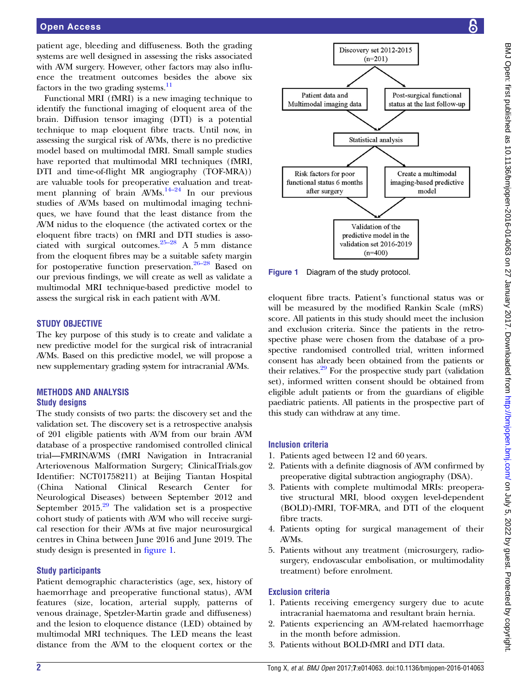patient age, bleeding and diffuseness. Both the grading systems are well designed in assessing the risks associated with AVM surgery. However, other factors may also influence the treatment outcomes besides the above six factors in the two grading systems. $^{11}$  $^{11}$  $^{11}$ 

Functional MRI (fMRI) is a new imaging technique to identify the functional imaging of eloquent area of the brain. Diffusion tensor imaging (DTI) is a potential technique to map eloquent fibre tracts. Until now, in assessing the surgical risk of AVMs, there is no predictive model based on multimodal fMRI. Small sample studies have reported that multimodal MRI techniques (fMRI, DTI and time-of-flight MR angiography (TOF-MRA)) are valuable tools for preoperative evaluation and treatment planning of brain  $AVMs$ .<sup>[14](#page-4-0)–24</sup> In our previous studies of AVMs based on multimodal imaging techniques, we have found that the least distance from the AVM nidus to the eloquence (the activated cortex or the eloquent fibre tracts) on fMRI and DTI studies is associated with surgical outcomes. $25-28$  $25-28$  A 5 mm distance from the eloquent fibres may be a suitable safety margin for postoperative function preservation.<sup>[26](#page-4-0)–28</sup> Based on our previous findings, we will create as well as validate a multimodal MRI technique-based predictive model to assess the surgical risk in each patient with AVM.

#### STUDY OBJECTIVE

The key purpose of this study is to create and validate a new predictive model for the surgical risk of intracranial AVMs. Based on this predictive model, we will propose a new supplementary grading system for intracranial AVMs.

#### METHODS AND ANALYSIS Study designs

The study consists of two parts: the discovery set and the validation set. The discovery set is a retrospective analysis of 201 eligible patients with AVM from our brain AVM database of a prospective randomised controlled clinical trial—FMRINAVMS (fMRI Navigation in Intracranial Arteriovenous Malformation Surgery; ClinicalTrials.gov Identifier: NCT01758211) at Beijing Tiantan Hospital (China National Clinical Research Center for Neurological Diseases) between September 2012 and September  $2015<sup>29</sup>$  $2015<sup>29</sup>$  $2015<sup>29</sup>$  The validation set is a prospective cohort study of patients with AVM who will receive surgical resection for their AVMs at five major neurosurgical centres in China between June 2016 and June 2019. The study design is presented in figure 1.

# Study participants

Patient demographic characteristics (age, sex, history of haemorrhage and preoperative functional status), AVM features (size, location, arterial supply, patterns of venous drainage, Spetzler-Martin grade and diffuseness) and the lesion to eloquence distance (LED) obtained by multimodal MRI techniques. The LED means the least distance from the AVM to the eloquent cortex or the



Figure 1 Diagram of the study protocol.

eloquent fibre tracts. Patient's functional status was or will be measured by the modified Rankin Scale (mRS) score. All patients in this study should meet the inclusion and exclusion criteria. Since the patients in the retrospective phase were chosen from the database of a prospective randomised controlled trial, written informed consent has already been obtained from the patients or their relatives.<sup>29</sup> For the prospective study part (validation set), informed written consent should be obtained from eligible adult patients or from the guardians of eligible paediatric patients. All patients in the prospective part of this study can withdraw at any time.

#### Inclusion criteria

- 1. Patients aged between 12 and 60 years.
- 2. Patients with a definite diagnosis of AVM confirmed by preoperative digital subtraction angiography (DSA).
- 3. Patients with complete multimodal MRIs: preoperative structural MRI, blood oxygen level-dependent (BOLD)-fMRI, TOF-MRA, and DTI of the eloquent fibre tracts.
- 4. Patients opting for surgical management of their AVMs.
- 5. Patients without any treatment (microsurgery, radiosurgery, endovascular embolisation, or multimodality treatment) before enrolment.

# Exclusion criteria

- 1. Patients receiving emergency surgery due to acute intracranial haematoma and resultant brain hernia.
- 2. Patients experiencing an AVM-related haemorrhage in the month before admission.
- 3. Patients without BOLD-fMRI and DTI data.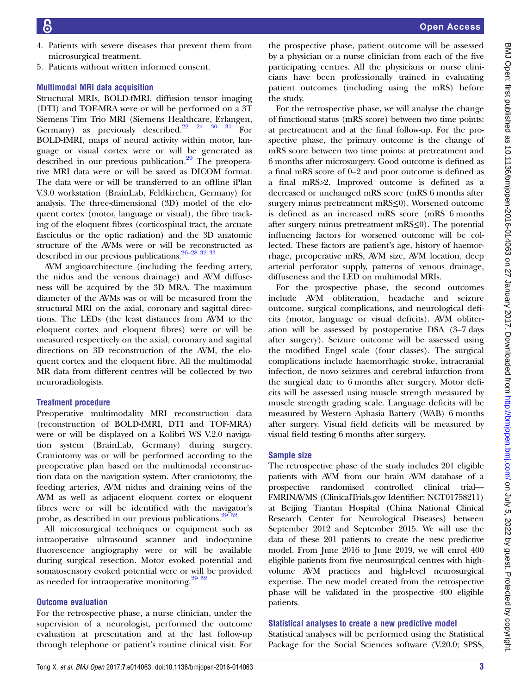- 4. Patients with severe diseases that prevent them from microsurgical treatment.
- 5. Patients without written informed consent.

# Multimodal MRI data acquisition

Structural MRIs, BOLD-fMRI, diffusion tensor imaging (DTI) and TOF-MRA were or will be performed on a 3T Siemens Tim Trio MRI (Siemens Healthcare, Erlangen, Germany) as previously described.<sup>22</sup> <sup>24</sup> <sup>30</sup> <sup>31</sup> For BOLD-fMRI, maps of neural activity within motor, language or visual cortex were or will be generated as described in our previous publication.<sup>[29](#page-5-0)</sup> The preoperative MRI data were or will be saved as DICOM format. The data were or will be transferred to an offline iPlan V.3.0 workstation (BrainLab, Feldkirchen, Germany) for analysis. The three-dimensional (3D) model of the eloquent cortex (motor, language or visual), the fibre tracking of the eloquent fibres (corticospinal tract, the arcuate fasciculus or the optic radiation) and the 3D anatomic structure of the AVMs were or will be reconstructed as described in our previous publications[.26](#page-4-0)–28 [32 33](#page-5-0)

AVM angioarchitecture (including the feeding artery, the nidus and the venous drainage) and AVM diffuseness will be acquired by the 3D MRA. The maximum diameter of the AVMs was or will be measured from the structural MRI on the axial, coronary and sagittal directions. The LEDs (the least distances from AVM to the eloquent cortex and eloquent fibres) were or will be measured respectively on the axial, coronary and sagittal directions on 3D reconstruction of the AVM, the eloquent cortex and the eloquent fibre. All the multimodal MR data from different centres will be collected by two neuroradiologists.

# Treatment procedure

Preoperative multimodality MRI reconstruction data (reconstruction of BOLD-fMRI, DTI and TOF-MRA) were or will be displayed on a Kolibri WS V.2.0 navigation system (BrainLab, Germany) during surgery. Craniotomy was or will be performed according to the preoperative plan based on the multimodal reconstruction data on the navigation system. After craniotomy, the feeding arteries, AVM nidus and draining veins of the AVM as well as adjacent eloquent cortex or eloquent fibres were or will be identified with the navigator's probe, as described in our previous publications.<sup>29</sup> <sup>32</sup>

All microsurgical techniques or equipment such as intraoperative ultrasound scanner and indocyanine fluorescence angiography were or will be available during surgical resection. Motor evoked potential and somatosensory evoked potential were or will be provided as needed for intraoperative monitoring.<sup>29</sup> <sup>32</sup>

# Outcome evaluation

For the retrospective phase, a nurse clinician, under the supervision of a neurologist, performed the outcome evaluation at presentation and at the last follow-up through telephone or patient's routine clinical visit. For

the prospective phase, patient outcome will be assessed by a physician or a nurse clinician from each of the five participating centres. All the physicians or nurse clinicians have been professionally trained in evaluating patient outcomes (including using the mRS) before the study.

For the retrospective phase, we will analyse the change of functional status (mRS score) between two time points: at pretreatment and at the final follow-up. For the prospective phase, the primary outcome is the change of mRS score between two time points: at pretreatment and 6 months after microsurgery. Good outcome is defined as a final mRS score of 0–2 and poor outcome is defined as a final mRS>2. Improved outcome is defined as a decreased or unchanged mRS score (mRS 6 months after surgery minus pretreatment mRS≤0). Worsened outcome is defined as an increased mRS score (mRS 6 months after surgery minus pretreatment mRS≤0). The potential influencing factors for worsened outcome will be collected. These factors are patient's age, history of haemorrhage, preoperative mRS, AVM size, AVM location, deep arterial perforator supply, patterns of venous drainage, diffuseness and the LED on multimodal MRIs.

For the prospective phase, the second outcomes include AVM obliteration, headache and seizure outcome, surgical complications, and neurological deficits (motor, language or visual deficits). AVM obliteration will be assessed by postoperative DSA (3–7 days after surgery). Seizure outcome will be assessed using the modified Engel scale (four classes). The surgical complications include haemorrhagic stroke, intracranial infection, de novo seizures and cerebral infarction from the surgical date to 6 months after surgery. Motor deficits will be assessed using muscle strength measured by muscle strength grading scale. Language deficits will be measured by Western Aphasia Battery (WAB) 6 months after surgery. Visual field deficits will be measured by visual field testing 6 months after surgery.

# Sample size

The retrospective phase of the study includes 201 eligible patients with AVM from our brain AVM database of a prospective randomised controlled clinical trial— FMRINAVMS (ClinicalTrials.gov Identifier: NCT01758211) at Beijing Tiantan Hospital (China National Clinical Research Center for Neurological Diseases) between September 2012 and September 2015. We will use the data of these 201 patients to create the new predictive model. From June 2016 to June 2019, we will enrol 400 eligible patients from five neurosurgical centres with highvolume AVM practices and high-level neurosurgical expertise. The new model created from the retrospective phase will be validated in the prospective 400 eligible patients.

# Statistical analyses to create a new predictive model

Statistical analyses will be performed using the Statistical Package for the Social Sciences software (V.20.0; SPSS,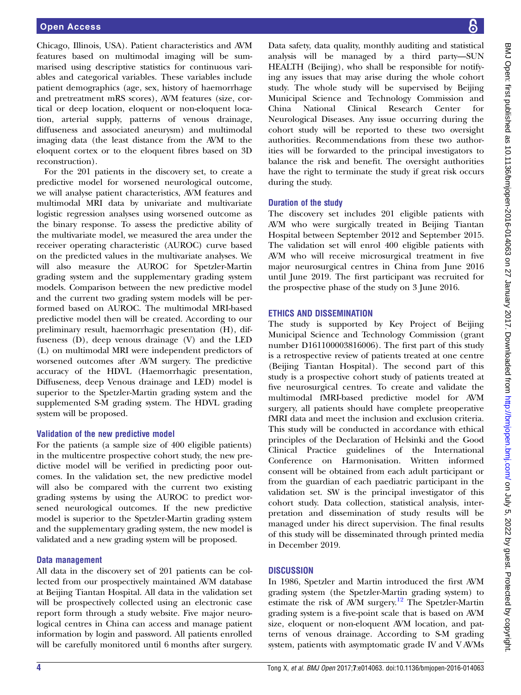Chicago, Illinois, USA). Patient characteristics and AVM features based on multimodal imaging will be summarised using descriptive statistics for continuous variables and categorical variables. These variables include patient demographics (age, sex, history of haemorrhage and pretreatment mRS scores), AVM features (size, cortical or deep location, eloquent or non-eloquent location, arterial supply, patterns of venous drainage, diffuseness and associated aneurysm) and multimodal imaging data (the least distance from the AVM to the eloquent cortex or to the eloquent fibres based on 3D reconstruction).

For the 201 patients in the discovery set, to create a predictive model for worsened neurological outcome, we will analyse patient characteristics, AVM features and multimodal MRI data by univariate and multivariate logistic regression analyses using worsened outcome as the binary response. To assess the predictive ability of the multivariate model, we measured the area under the receiver operating characteristic (AUROC) curve based on the predicted values in the multivariate analyses. We will also measure the AUROC for Spetzler-Martin grading system and the supplementary grading system models. Comparison between the new predictive model and the current two grading system models will be performed based on AUROC. The multimodal MRI-based predictive model then will be created. According to our preliminary result, haemorrhagic presentation (H), diffuseness (D), deep venous drainage (V) and the LED (L) on multimodal MRI were independent predictors of worsened outcomes after AVM surgery. The predictive accuracy of the HDVL (Haemorrhagic presentation, Diffuseness, deep Venous drainage and LED) model is superior to the Spetzler-Martin grading system and the supplemented S-M grading system. The HDVL grading system will be proposed.

# Validation of the new predictive model

For the patients (a sample size of 400 eligible patients) in the multicentre prospective cohort study, the new predictive model will be verified in predicting poor outcomes. In the validation set, the new predictive model will also be compared with the current two existing grading systems by using the AUROC to predict worsened neurological outcomes. If the new predictive model is superior to the Spetzler-Martin grading system and the supplementary grading system, the new model is validated and a new grading system will be proposed.

# Data management

All data in the discovery set of 201 patients can be collected from our prospectively maintained AVM database at Beijing Tiantan Hospital. All data in the validation set will be prospectively collected using an electronic case report form through a study website. Five major neurological centres in China can access and manage patient information by login and password. All patients enrolled will be carefully monitored until 6 months after surgery.

Data safety, data quality, monthly auditing and statistical analysis will be managed by a third party—SUN HEALTH (Beijing), who shall be responsible for notifying any issues that may arise during the whole cohort study. The whole study will be supervised by Beijing Municipal Science and Technology Commission and China National Clinical Research Center for Neurological Diseases. Any issue occurring during the cohort study will be reported to these two oversight authorities. Recommendations from these two authorities will be forwarded to the principal investigators to balance the risk and benefit. The oversight authorities have the right to terminate the study if great risk occurs during the study.

# Duration of the study

The discovery set includes 201 eligible patients with AVM who were surgically treated in Beijing Tiantan Hospital between September 2012 and September 2015. The validation set will enrol 400 eligible patients with AVM who will receive microsurgical treatment in five major neurosurgical centres in China from June 2016 until June 2019. The first participant was recruited for the prospective phase of the study on 3 June 2016.

# ETHICS AND DISSEMINATION

The study is supported by Key Project of Beijing Municipal Science and Technology Commission (grant number D161100003816006). The first part of this study is a retrospective review of patients treated at one centre (Beijing Tiantan Hospital). The second part of this study is a prospective cohort study of patients treated at five neurosurgical centres. To create and validate the multimodal fMRI-based predictive model for AVM surgery, all patients should have complete preoperative fMRI data and meet the inclusion and exclusion criteria. This study will be conducted in accordance with ethical principles of the Declaration of Helsinki and the Good Clinical Practice guidelines of the International Conference on Harmonisation. Written informed consent will be obtained from each adult participant or from the guardian of each paediatric participant in the validation set. SW is the principal investigator of this cohort study. Data collection, statistical analysis, interpretation and dissemination of study results will be managed under his direct supervision. The final results of this study will be disseminated through printed media in December 2019.

# **DISCUSSION**

In 1986, Spetzler and Martin introduced the first AVM grading system (the Spetzler-Martin grading system) to estimate the risk of AVM surgery.<sup>[12](#page-4-0)</sup> The Spetzler-Martin grading system is a five-point scale that is based on AVM size, eloquent or non-eloquent AVM location, and patterns of venous drainage. According to S-M grading system, patients with asymptomatic grade IV and V AVMs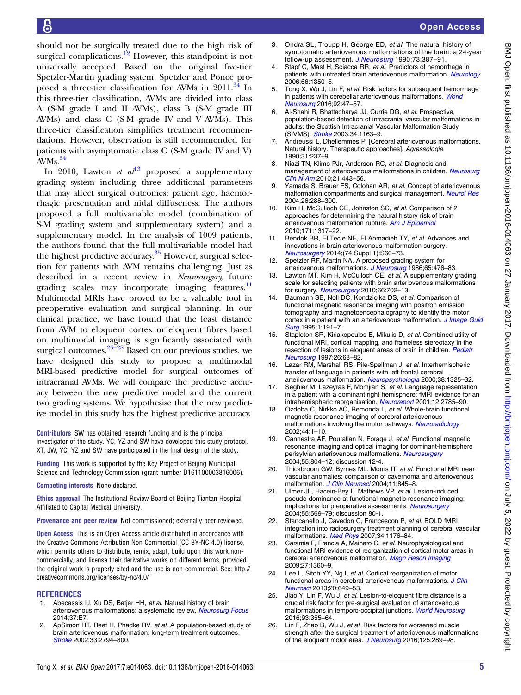<span id="page-4-0"></span>should not be surgically treated due to the high risk of surgical complications.<sup>12</sup> However, this standpoint is not universally accepted. Based on the original five-tier Spetzler-Martin grading system, Spetzler and Ponce pro-posed a three-tier classification for AVMs in 2011.<sup>[34](#page-5-0)</sup> In this three-tier classification, AVMs are divided into class A (S-M grade I and II AVMs), class B (S-M grade III AVMs) and class C (S-M grade IV and V AVMs). This three-tier classification simplifies treatment recommendations. However, observation is still recommended for patients with asymptomatic class C (S-M grade IV and V) AVMs.<sup>[34](#page-5-0)</sup>

In 2010, Lawton et  $al^{13}$  proposed a supplementary grading system including three additional parameters that may affect surgical outcomes: patient age, haemorrhagic presentation and nidal diffuseness. The authors proposed a full multivariable model (combination of S-M grading system and supplementary system) and a supplementary model. In the analysis of 1009 patients, the authors found that the full multivariable model had the highest predictive accuracy.<sup>35</sup> However, surgical selection for patients with AVM remains challenging. Just as described in a recent review in Neurosurgery, future grading scales may incorporate imaging features.<sup>11</sup> Multimodal MRIs have proved to be a valuable tool in preoperative evaluation and surgical planning. In our clinical practice, we have found that the least distance from AVM to eloquent cortex or eloquent fibres based on multimodal imaging is significantly associated with surgical outcomes. $25-28$  Based on our previous studies, we have designed this study to propose a multimodal MRI-based predictive model for surgical outcomes of intracranial AVMs. We will compare the predictive accuracy between the new predictive model and the current two grading systems. We hypothesise that the new predictive model in this study has the highest predictive accuracy.

Contributors SW has obtained research funding and is the principal investigator of the study. YC, YZ and SW have developed this study protocol. XT, JW, YC, YZ and SW have participated in the final design of the study.

Funding This work is supported by the Key Project of Beijing Municipal Science and Technology Commission (grant number D161100003816006).

Competing interests None declared.

Ethics approval The Institutional Review Board of Beijing Tiantan Hospital Affiliated to Capital Medical University.

Provenance and peer review Not commissioned; externally peer reviewed.

**Open Access** This is an Open Access article distributed in accordance with the Creative Commons Attribution Non Commercial (CC BY-NC 4.0) license, which permits others to distribute, remix, adapt, build upon this work noncommercially, and license their derivative works on different terms, provided the original work is properly cited and the use is non-commercial. See: [http://](http://creativecommons.org/licenses/by-nc/4.0/) [creativecommons.org/licenses/by-nc/4.0/](http://creativecommons.org/licenses/by-nc/4.0/)

#### **REFERENCES**

- 1. Abecassis IJ, Xu DS, Batjer HH, et al. Natural history of brain arteriovenous malformations: a systematic review. [Neurosurg Focus](http://dx.doi.org/10.3171/2014.6.FOCUS14250) 2014;37:E7.
- 2. ApSimon HT, Reef H, Phadke RV, et al. A population-based study of brain arteriovenous malformation: long-term treatment outcomes. [Stroke](http://dx.doi.org/10.1161/01.STR.0000043674.99741.9B) 2002;33:2794–800.
- Open Access
- 3. Ondra SL, Troupp H, George ED, et al. The natural history of symptomatic arteriovenous malformations of the brain: a 24-year follow-up assessment. [J Neurosurg](http://dx.doi.org/10.3171/jns.1990.73.3.0387) 1990;73:387–91.
- 4. Stapf C, Mast H, Sciacca RR, et al. Predictors of hemorrhage in patients with untreated brain arteriovenous malformation. [Neurology](http://dx.doi.org/10.1212/01.wnl.0000210524.68507.87) 2006;66:1350–5.
- 5. Tong X, Wu J, Lin F, et al. Risk factors for subsequent hemorrhage in patients with cerebellar arteriovenous malformations. [World](http://dx.doi.org/10.1016/j.wneu.2016.04.082) [Neurosurg](http://dx.doi.org/10.1016/j.wneu.2016.04.082) 2016;92:47–57.
- 6. Al-Shahi R, Bhattacharya JJ, Currie DG, et al. Prospective, population-based detection of intracranial vascular malformations in adults: the Scottish Intracranial Vascular Malformation Study (SIVMS). [Stroke](http://dx.doi.org/10.1161/01.STR.0000069018.90456.C9) 2003;34:1163-9.
- 7. Andreussi L, Dhellemmes P. [Cerebral arteriovenous malformations. Natural history. Therapeutic approaches]. Agressologie 1990;31:237–9.
- 8. Niazi TN, Klimo PJr, Anderson RC, et al. Diagnosis and management of arteriovenous malformations in children. [Neurosurg](http://dx.doi.org/10.1016/j.nec.2010.03.012) [Clin N Am](http://dx.doi.org/10.1016/j.nec.2010.03.012) 2010;21:443–56.
- 9. Yamada S, Brauer FS, Colohan AR, et al. Concept of arteriovenous malformation compartments and surgical management. [Neurol Res](http://dx.doi.org/10.1179/016164104225013987) 2004;26:288–300.
- 10. Kim H, McCulloch CE, Johnston SC, et al. Comparison of 2 approaches for determining the natural history risk of brain arteriovenous malformation rupture. [Am J Epidemiol](http://dx.doi.org/10.1093/aje/kwq082) 2010;171:1317–22.
- 11. Bendok BR, El Tecle NE, El Ahmadieh TY, et al. Advances and innovations in brain arteriovenous malformation surgery. [Neurosurgery](http://dx.doi.org/10.1227/NEU.0000000000000230) 2014;(74 Suppl 1):S60–73.
- 12. Spetzler RF, Martin NA. A proposed grading system for arteriovenous malformations. [J Neurosurg](http://dx.doi.org/10.3171/jns.1986.65.4.0476) 1986;65:476-83.
- 13. Lawton MT, Kim H, McCulloch CE, et al. A supplementary grading scale for selecting patients with brain arteriovenous malformations for surgery. [Neurosurgery](http://dx.doi.org/10.1227/01.NEU.0000367555.16733.E1) 2010;66:702-13.
- 14. Baumann SB, Noll DC, Kondziolka DS, et al. Comparison of functional magnetic resonance imaging with positron emission tomography and magnetoencephalography to identify the motor cortex in a patient with an arteriovenous malformation. *[J Image Guid](http://dx.doi.org/10.1002/(SICI)1522-712X(1995)1:4<191::AID-IGS1>3.0.CO;2-5)* [Surg](http://dx.doi.org/10.1002/(SICI)1522-712X(1995)1:4<191::AID-IGS1>3.0.CO;2-5) 1995;1:191–7.
- 15. Stapleton SR, Kiriakopoulos E, Mikulis D, et al. Combined utility of functional MRI, cortical mapping, and frameless stereotaxy in the resection of lesions in eloquent areas of brain in children. [Pediatr](http://dx.doi.org/10.1159/000121167) [Neurosurg](http://dx.doi.org/10.1159/000121167) 1997;26:68–82.
- 16. Lazar RM, Marshall RS, Pile-Spellman J, et al. Interhemispheric transfer of language in patients with left frontal cerebral arteriovenous malformation. [Neuropsychologia](http://dx.doi.org/10.1016/S0028-3932(00)00054-3) 2000;38:1325-32.
- 17. Seghier M, Lazeyras F, Momiian S, et al. Language representation in a patient with a dominant right hemisphere: fMRI evidence for an intrahemispheric reorganisation. [Neuroreport](http://dx.doi.org/10.1097/00001756-200109170-00007) 2001;12:2785-90.
- 18. Ozdoba C, Nirkko AC, Remonda L, et al. Whole-brain functional magnetic resonance imaging of cerebral arteriovenous malformations involving the motor pathways. [Neuroradiology](http://dx.doi.org/10.1007/s002340100664) 2002;44:1–10.
- 19. Cannestra AF, Pouratian N, Forage J, et al. Functional magnetic resonance imaging and optical imaging for dominant-hemisphere perisylvian arteriovenous malformations. [Neurosurgery](http://dx.doi.org/10.1227/01.NEU.0000137654.27826.71) 2004;55:804–12; discussion 12-4.
- 20. Thickbroom GW, Byrnes ML, Morris IT, et al. Functional MRI near vascular anomalies: comparison of cavernoma and arteriovenous malformation. [J Clin Neurosci](http://dx.doi.org/10.1016/j.jocn.2003.10.016) 2004;11:845-8.
- 21. Ulmer JL, Hacein-Bey L, Mathews VP, et al. Lesion-induced pseudo-dominance at functional magnetic resonance imaging: implications for preoperative assessments. [Neurosurgery](http://dx.doi.org/10.1227/01.NEU.0000134384.94749.B2) 2004;55:569–79; discussion 80-1.
- 22. Stancanello J, Cavedon C, Francescon P, et al. BOLD fMRI integration into radiosurgery treatment planning of cerebral vascular malformations. [Med Phys](http://dx.doi.org/10.1118/1.2710326) 2007;34:1176–84.
- 23. Caramia F, Francia A, Mainero C, et al. Neurophysiological and functional MRI evidence of reorganization of cortical motor areas in cerebral arteriovenous malformation. [Magn Reson Imaging](http://dx.doi.org/10.1016/j.mri.2009.05.029) 2009;27:1360–9.
- 24. Lee L, Sitoh YY, Ng I, et al. Cortical reorganization of motor functional areas in cerebral arteriovenous malformations. [J Clin](http://dx.doi.org/10.1016/j.jocn.2012.07.007) [Neurosci](http://dx.doi.org/10.1016/j.jocn.2012.07.007) 2013;20:649–53.
- 25. Jiao Y, Lin F, Wu J, et al. Lesion-to-eloquent fibre distance is a crucial risk factor for pre-surgical evaluation of arteriovenous malformations in temporo-occipital junctions. [World Neurosurg](http://dx.doi.org/10.1016/j.wneu.2016.06.059) 2016;93:355–64.
- 26. Lin F, Zhao B, Wu J, et al. Risk factors for worsened muscle strength after the surgical treatment of arteriovenous malformations of the eloquent motor area. [J Neurosurg](http://dx.doi.org/10.3171/2015.6.JNS15969) 2016;125:289-98.